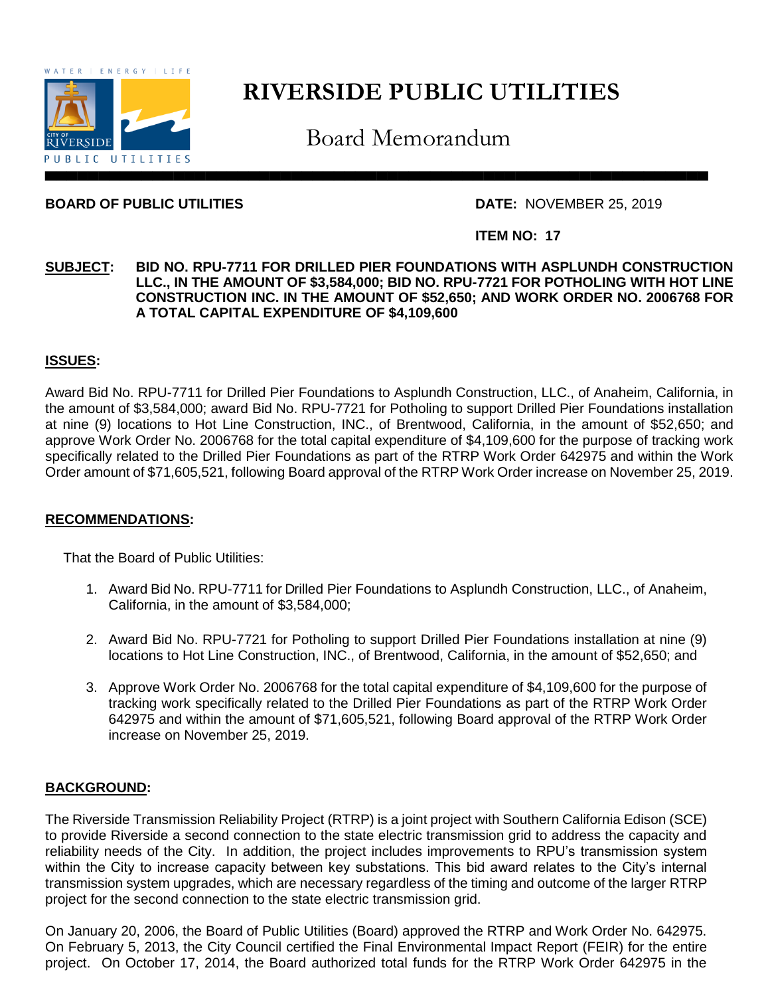

# **RIVERSIDE PUBLIC UTILITIES**

Board Memorandum

# **BOARD OF PUBLIC UTILITIES DATE:** NOVEMBER 25, 2019

## **ITEM NO: 17**

### **SUBJECT: BID NO. RPU-7711 FOR DRILLED PIER FOUNDATIONS WITH ASPLUNDH CONSTRUCTION LLC., IN THE AMOUNT OF \$3,584,000; BID NO. RPU-7721 FOR POTHOLING WITH HOT LINE CONSTRUCTION INC. IN THE AMOUNT OF \$52,650; AND WORK ORDER NO. 2006768 FOR A TOTAL CAPITAL EXPENDITURE OF \$4,109,600**

### **ISSUES:**

Award Bid No. RPU-7711 for Drilled Pier Foundations to Asplundh Construction, LLC., of Anaheim, California, in the amount of \$3,584,000; award Bid No. RPU-7721 for Potholing to support Drilled Pier Foundations installation at nine (9) locations to Hot Line Construction, INC., of Brentwood, California, in the amount of \$52,650; and approve Work Order No. 2006768 for the total capital expenditure of \$4,109,600 for the purpose of tracking work specifically related to the Drilled Pier Foundations as part of the RTRP Work Order 642975 and within the Work Order amount of \$71,605,521, following Board approval of the RTRP Work Order increase on November 25, 2019.

### **RECOMMENDATIONS:**

That the Board of Public Utilities:

- 1. Award Bid No. RPU-7711 for Drilled Pier Foundations to Asplundh Construction, LLC., of Anaheim, California, in the amount of \$3,584,000;
- 2. Award Bid No. RPU-7721 for Potholing to support Drilled Pier Foundations installation at nine (9) locations to Hot Line Construction, INC., of Brentwood, California, in the amount of \$52,650; and
- 3. Approve Work Order No. 2006768 for the total capital expenditure of \$4,109,600 for the purpose of tracking work specifically related to the Drilled Pier Foundations as part of the RTRP Work Order 642975 and within the amount of \$71,605,521, following Board approval of the RTRP Work Order increase on November 25, 2019.

### **BACKGROUND:**

The Riverside Transmission Reliability Project (RTRP) is a joint project with Southern California Edison (SCE) to provide Riverside a second connection to the state electric transmission grid to address the capacity and reliability needs of the City. In addition, the project includes improvements to RPU's transmission system within the City to increase capacity between key substations. This bid award relates to the City's internal transmission system upgrades, which are necessary regardless of the timing and outcome of the larger RTRP project for the second connection to the state electric transmission grid.

On January 20, 2006, the Board of Public Utilities (Board) approved the RTRP and Work Order No. 642975. On February 5, 2013, the City Council certified the Final Environmental Impact Report (FEIR) for the entire project. On October 17, 2014, the Board authorized total funds for the RTRP Work Order 642975 in the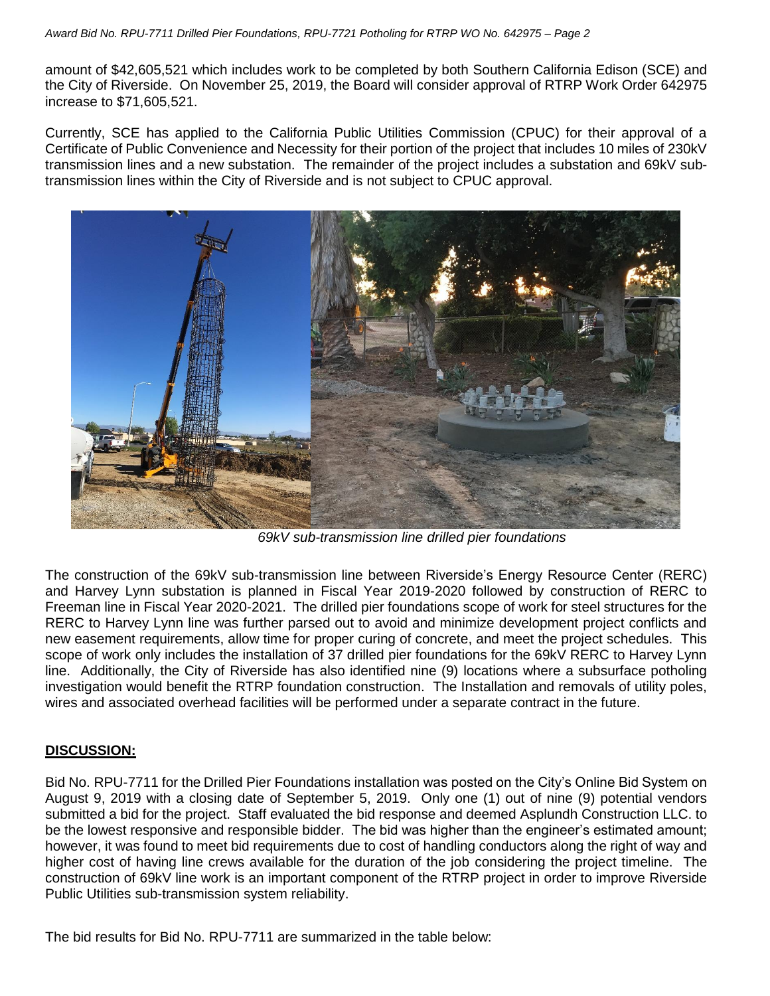amount of \$42,605,521 which includes work to be completed by both Southern California Edison (SCE) and the City of Riverside. On November 25, 2019, the Board will consider approval of RTRP Work Order 642975 increase to \$71,605,521.

Currently, SCE has applied to the California Public Utilities Commission (CPUC) for their approval of a Certificate of Public Convenience and Necessity for their portion of the project that includes 10 miles of 230kV transmission lines and a new substation. The remainder of the project includes a substation and 69kV subtransmission lines within the City of Riverside and is not subject to CPUC approval.



*69kV sub-transmission line drilled pier foundations*

The construction of the 69kV sub-transmission line between Riverside's Energy Resource Center (RERC) and Harvey Lynn substation is planned in Fiscal Year 2019-2020 followed by construction of RERC to Freeman line in Fiscal Year 2020-2021. The drilled pier foundations scope of work for steel structures for the RERC to Harvey Lynn line was further parsed out to avoid and minimize development project conflicts and new easement requirements, allow time for proper curing of concrete, and meet the project schedules. This scope of work only includes the installation of 37 drilled pier foundations for the 69kV RERC to Harvey Lynn line. Additionally, the City of Riverside has also identified nine (9) locations where a subsurface potholing investigation would benefit the RTRP foundation construction. The Installation and removals of utility poles, wires and associated overhead facilities will be performed under a separate contract in the future.

# **DISCUSSION:**

Bid No. RPU-7711 for the Drilled Pier Foundations installation was posted on the City's Online Bid System on August 9, 2019 with a closing date of September 5, 2019. Only one (1) out of nine (9) potential vendors submitted a bid for the project. Staff evaluated the bid response and deemed Asplundh Construction LLC. to be the lowest responsive and responsible bidder. The bid was higher than the engineer's estimated amount; however, it was found to meet bid requirements due to cost of handling conductors along the right of way and higher cost of having line crews available for the duration of the job considering the project timeline. The construction of 69kV line work is an important component of the RTRP project in order to improve Riverside Public Utilities sub-transmission system reliability.

The bid results for Bid No. RPU-7711 are summarized in the table below: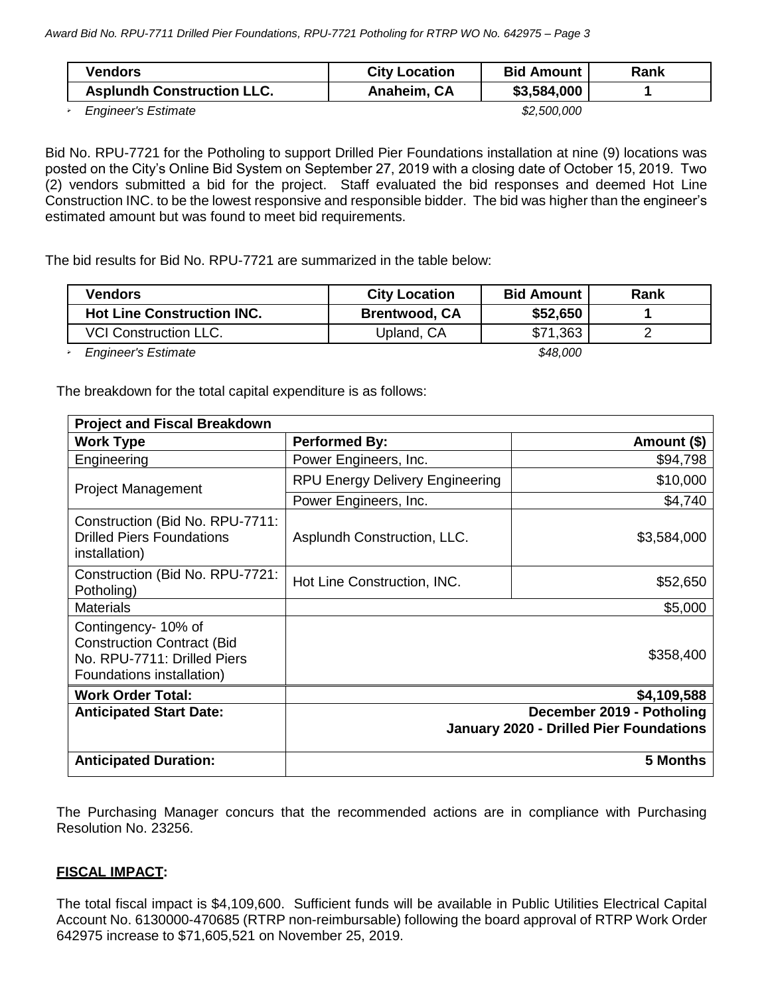| <b>Vendors</b>                    | <b>City Location</b> | <b>Bid Amount</b> | Rank |
|-----------------------------------|----------------------|-------------------|------|
| <b>Asplundh Construction LLC.</b> | Anaheim, CA          | \$3,584,000       |      |
| <b>Engineer's Estimate</b>        | \$2,500,000          |                   |      |

Bid No. RPU-7721 for the Potholing to support Drilled Pier Foundations installation at nine (9) locations was posted on the City's Online Bid System on September 27, 2019 with a closing date of October 15, 2019. Two (2) vendors submitted a bid for the project. Staff evaluated the bid responses and deemed Hot Line Construction INC. to be the lowest responsive and responsible bidder. The bid was higher than the engineer's estimated amount but was found to meet bid requirements.

The bid results for Bid No. RPU-7721 are summarized in the table below:

| Vendors                           | <b>City Location</b> | <b>Bid Amount</b> | Rank |
|-----------------------------------|----------------------|-------------------|------|
| <b>Hot Line Construction INC.</b> | <b>Brentwood, CA</b> | \$52,650          |      |
| <b>VCI Construction LLC.</b>      | Upland, CA           | \$71,363          |      |

*Engineer's Estimate \$48,000*

The breakdown for the total capital expenditure is as follows:

| <b>Project and Fiscal Breakdown</b>                                                                                  |                                                                             |             |  |  |  |  |
|----------------------------------------------------------------------------------------------------------------------|-----------------------------------------------------------------------------|-------------|--|--|--|--|
| <b>Work Type</b>                                                                                                     | <b>Performed By:</b>                                                        | Amount (\$) |  |  |  |  |
| Engineering                                                                                                          | Power Engineers, Inc.                                                       | \$94,798    |  |  |  |  |
| <b>Project Management</b>                                                                                            | <b>RPU Energy Delivery Engineering</b>                                      | \$10,000    |  |  |  |  |
|                                                                                                                      | Power Engineers, Inc.                                                       | \$4,740     |  |  |  |  |
| Construction (Bid No. RPU-7711:<br><b>Drilled Piers Foundations</b><br>installation)                                 | Asplundh Construction, LLC.                                                 | \$3,584,000 |  |  |  |  |
| Construction (Bid No. RPU-7721:<br>Potholing)                                                                        | Hot Line Construction, INC.                                                 | \$52,650    |  |  |  |  |
| <b>Materials</b>                                                                                                     |                                                                             | \$5,000     |  |  |  |  |
| Contingency- 10% of<br><b>Construction Contract (Bid</b><br>No. RPU-7711: Drilled Piers<br>Foundations installation) | \$358,400                                                                   |             |  |  |  |  |
| <b>Work Order Total:</b>                                                                                             | \$4,109,588                                                                 |             |  |  |  |  |
| <b>Anticipated Start Date:</b>                                                                                       | December 2019 - Potholing<br><b>January 2020 - Drilled Pier Foundations</b> |             |  |  |  |  |
| <b>Anticipated Duration:</b>                                                                                         | 5 Months                                                                    |             |  |  |  |  |

The Purchasing Manager concurs that the recommended actions are in compliance with Purchasing Resolution No. 23256.

# **FISCAL IMPACT:**

The total fiscal impact is \$4,109,600. Sufficient funds will be available in Public Utilities Electrical Capital Account No. 6130000-470685 (RTRP non-reimbursable) following the board approval of RTRP Work Order 642975 increase to \$71,605,521 on November 25, 2019.